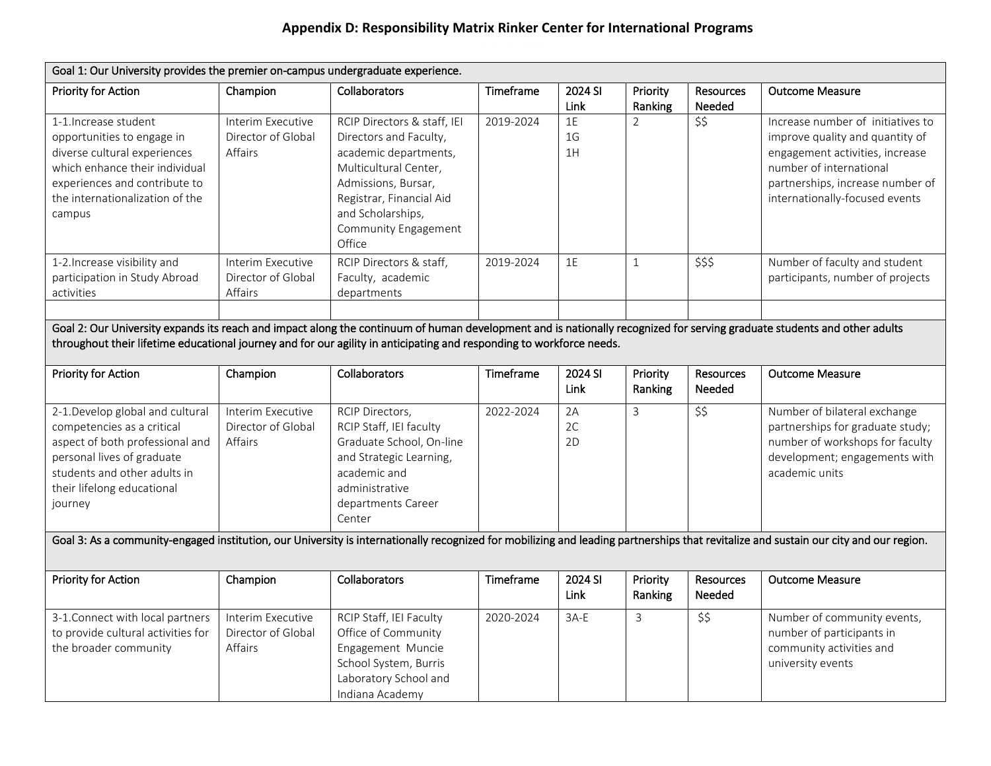## **Appendix D: Responsibility Matrix Rinker Center for International Programs**

| Goal 1: Our University provides the premier on-campus undergraduate experience.                                                                                                                                                                                                                  |                                                    |                                                                                                                                                                                                                   |           |                            |                     |                            |                                                                                                                                                                                                          |  |
|--------------------------------------------------------------------------------------------------------------------------------------------------------------------------------------------------------------------------------------------------------------------------------------------------|----------------------------------------------------|-------------------------------------------------------------------------------------------------------------------------------------------------------------------------------------------------------------------|-----------|----------------------------|---------------------|----------------------------|----------------------------------------------------------------------------------------------------------------------------------------------------------------------------------------------------------|--|
| Priority for Action                                                                                                                                                                                                                                                                              | Champion                                           | <b>Collaborators</b>                                                                                                                                                                                              | Timeframe | 2024 SI<br>Link            | Priority<br>Ranking | <b>Resources</b><br>Needed | <b>Outcome Measure</b>                                                                                                                                                                                   |  |
| 1-1. Increase student<br>opportunities to engage in<br>diverse cultural experiences<br>which enhance their individual<br>experiences and contribute to<br>the internationalization of the<br>campus                                                                                              | Interim Executive<br>Director of Global<br>Affairs | RCIP Directors & staff, IEI<br>Directors and Faculty,<br>academic departments,<br>Multicultural Center,<br>Admissions, Bursar,<br>Registrar, Financial Aid<br>and Scholarships,<br>Community Engagement<br>Office | 2019-2024 | 1E<br>1 <sub>G</sub><br>1H | $\overline{2}$      | \$\$                       | Increase number of initiatives to<br>improve quality and quantity of<br>engagement activities, increase<br>number of international<br>partnerships, increase number of<br>internationally-focused events |  |
| 1-2. Increase visibility and<br>participation in Study Abroad<br>activities                                                                                                                                                                                                                      | Interim Executive<br>Director of Global<br>Affairs | RCIP Directors & staff,<br>Faculty, academic<br>departments                                                                                                                                                       | 2019-2024 | 1E                         | $\mathbf{1}$        | \$\$\$                     | Number of faculty and student<br>participants, number of projects                                                                                                                                        |  |
| Goal 2: Our University expands its reach and impact along the continuum of human development and is nationally recognized for serving graduate students and other adults<br>throughout their lifetime educational journey and for our agility in anticipating and responding to workforce needs. |                                                    |                                                                                                                                                                                                                   |           |                            |                     |                            |                                                                                                                                                                                                          |  |
| Priority for Action                                                                                                                                                                                                                                                                              | Champion                                           | Collaborators                                                                                                                                                                                                     | Timeframe | 2024 SI<br>Link            | Priority<br>Ranking | <b>Resources</b><br>Needed | <b>Outcome Measure</b>                                                                                                                                                                                   |  |
| 2-1.Develop global and cultural<br>competencies as a critical<br>aspect of both professional and<br>personal lives of graduate<br>students and other adults in<br>their lifelong educational<br>journey                                                                                          | Interim Executive<br>Director of Global<br>Affairs | RCIP Directors,<br>RCIP Staff, IEI faculty<br>Graduate School, On-line<br>and Strategic Learning,<br>academic and<br>administrative<br>departments Career<br>Center                                               | 2022-2024 | 2A<br>2C<br>2D             | 3                   | \$5                        | Number of bilateral exchange<br>partnerships for graduate study;<br>number of workshops for faculty<br>development; engagements with<br>academic units                                                   |  |
|                                                                                                                                                                                                                                                                                                  |                                                    |                                                                                                                                                                                                                   |           |                            |                     |                            | Goal 3: As a community-engaged institution, our University is internationally recognized for mobilizing and leading partnerships that revitalize and sustain our city and our region.                    |  |
| Priority for Action                                                                                                                                                                                                                                                                              | Champion                                           | Collaborators                                                                                                                                                                                                     | Timeframe | 2024 SI<br>Link            | Priority<br>Ranking | <b>Resources</b><br>Needed | <b>Outcome Measure</b>                                                                                                                                                                                   |  |
| 3-1. Connect with local partners<br>to provide cultural activities for<br>the broader community                                                                                                                                                                                                  | Interim Executive<br>Director of Global<br>Affairs | RCIP Staff, IEI Faculty<br>Office of Community<br>Engagement Muncie<br>School System, Burris<br>Laboratory School and<br>Indiana Academy                                                                          | 2020-2024 | $3A-E$                     | 3                   | \$5                        | Number of community events,<br>number of participants in<br>community activities and<br>university events                                                                                                |  |